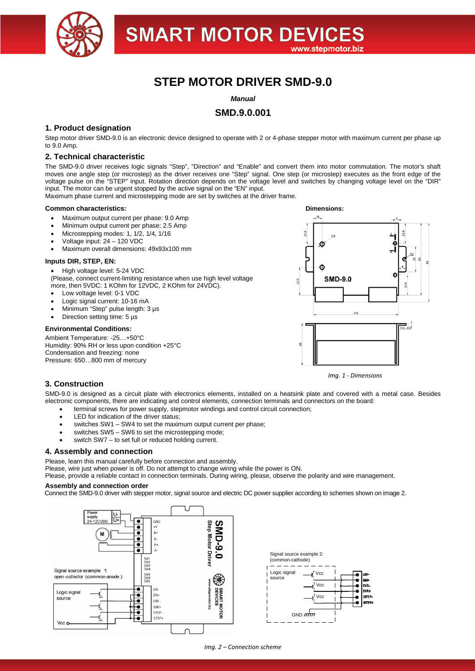

# **STEP MOTOR DRIVER SMD-9.0**

*Manual*

# **SMD.9.0.001**

# **1. Product designation**

Step motor driver SMD-9.0 is an electronic device designed to operate with 2 or 4-phase stepper motor with maximum current per phase up to 9.0 Amp.

## **2. Technical characteristic**

The SMD-9.0 driver receives logic signals "Step", "Direction" and "Enable" and convert them into motor commutation. The motor's shaft moves one angle step (or microstep) as the driver receives one "Step" signal. One step (or microstep) executes as the front edge of the voltage pulse on the "STEP" input. Rotation direction depends on the voltage level and switches by changing voltage level on the "DIR" input. The motor can be urgent stopped by the active signal on the "EN" input.

Maximum phase current and microstepping mode are set by switches at the driver frame.

#### **Common characteristics: Dimensions:**

- Maximum output current per phase: 9.0 Amp
- Minimum output current per phase: 2.5 Amp
- Microstepping modes: 1, 1/2, 1/4, 1/16
- Voltage input: 24 120 VDC
- Maximum overall dimensions: 49x93x100 mm

### **Inputs DIR, STEP, EN:**

• High voltage level: 5-24 VDC (Please, connect current-limiting resistance when use high level voltage more, then 5VDC: 1 KOhm for 12VDC, 2 KOhm for 24VDC).

- Low voltage level: 0-1 VDC
- Logic signal current: 10-16 mA
- Minimum "Step" pulse length: 3 µs
- Direction setting time: 5 µs

### **Environmental Conditions:**

Ambient Temperature: -25…+50°C Humidity: 90% RH or less upon condition +25°C Condensation and freezing: none Pressure: 650…800 mm of mercury



*Img. 1 - Dimensions*

# **3. Construction**

SMD-9.0 is designed as a circuit plate with electronics elements, installed on a heatsink plate and covered with a metal case. Besides electronic components, there are indicating and control elements, connection terminals and connectors on the board:

- terminal screws for power supply, stepmotor windings and control circuit connection;
- LED for indication of the driver status:
- switches SW1 SW4 to set the maximum output current per phase;
- switches SW5 SW6 to set the microstepping mode;
- switch SW7 to set full or reduced holding current.

## **4. Assembly and connection**

Please, learn this manual carefully before connection and assembly.

Please, wire just when power is off. Do not attempt to change wiring while the power is ON.

Please, provide a reliable contact in connection terminals. During wiring, please, observe the polarity and wire management.

### **Assembly and connection order**

Connect the SMD-9.0 driver with stepper motor, signal source and electric DC power supplier according to schemes shown on image 2.